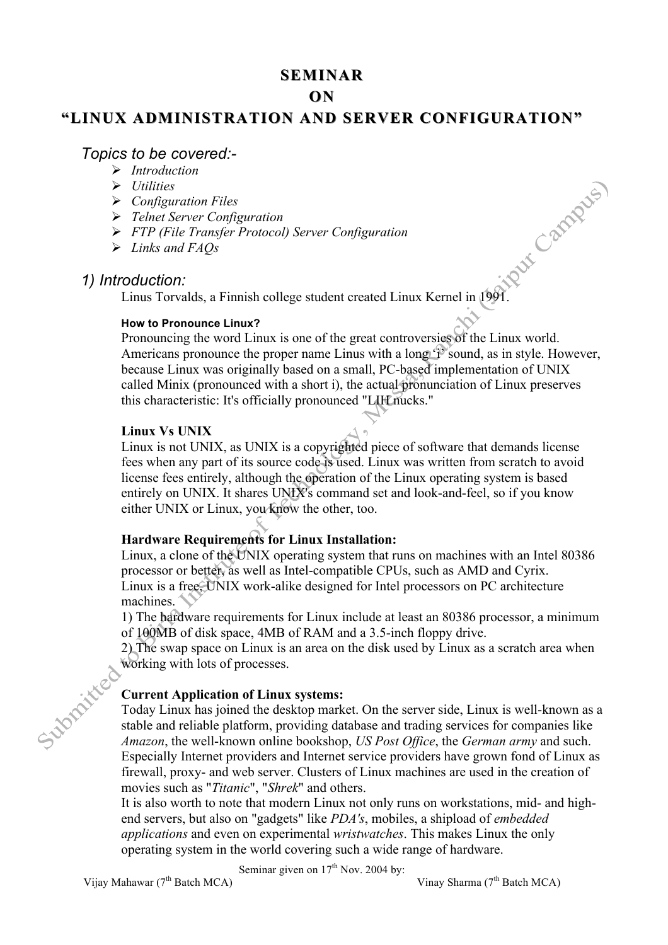# **SEMINAR**

# **ON**

# "LINUX ADMINISTRATION AND SERVER CONFIGURATION"

# *Topics to be covered:-*

- Ø *Introduction*
- Ø *Utilities*
- Ø *Configuration Files*
- Ø *Telnet Server Configuration*
- Ø *FTP (File Transfer Protocol) Server Configuration*
- Ø *Links and FAQs*

# *1) Introduction:*

 $\frac{1}{2}$ <br>
Linus Torvalds, a Finnish college student created Linux Kernel in 1991.

## **How to Pronounce Linux?**

Pronouncing the word Linux is one of the great controversies of the Linux world. Americans pronounce the proper name Linus with a long  $\ddot{P}$  sound, as in style. However, because Linux was originally based on a small, PC-based implementation of UNIX called Minix (pronounced with a short i), the actual pronunciation of Linux preserves this characteristic: It's officially pronounced "LIH nucks."

## **Linux Vs UNIX**

Linux is not UNIX, as UNIX is a copyrighted piece of software that demands license fees when any part of its source code is used. Linux was written from scratch to avoid license fees entirely, although the operation of the Linux operating system is based entirely on UNIX. It shares UNIX's command set and look-and-feel, so if you know either UNIX or Linux, you know the other, too.

# **Hardware Requirements for Linux Installation:**

Linux, a clone of the UNIX operating system that runs on machines with an Intel 80386 processor or better, as well as Intel-compatible CPUs, such as AMD and Cyrix. Linux is a free, UNIX work-alike designed for Intel processors on PC architecture machines.

1) The hardware requirements for Linux include at least an 80386 processor, a minimum of 100MB of disk space, 4MB of RAM and a 3.5-inch floppy drive.

2) The swap space on Linux is an area on the disk used by Linux as a scratch area when working with lots of processes.

# **Current Application of Linux systems:**

Today Linux has joined the desktop market. On the server side, Linux is well-known as a stable and reliable platform, providing database and trading services for companies like *Amazon*, the well-known online bookshop, *US Post Office*, the *German army* and such. Especially Internet providers and Internet service providers have grown fond of Linux as firewall, proxy- and web server. Clusters of Linux machines are used in the creation of movies such as "*Titanic*", "*Shrek*" and others.

It is also worth to note that modern Linux not only runs on workstations, mid- and highend servers, but also on "gadgets" like *PDA's*, mobiles, a shipload of *embedded applications* and even on experimental *wristwatches*. This makes Linux the only operating system in the world covering such a wide range of hardware.

Seminar given on  $17<sup>th</sup>$  Nov. 2004 by:

Vijay Mahawar (7<sup>th</sup> Batch MCA) Vinay Sharma (7<sup>th</sup> Batch MCA)

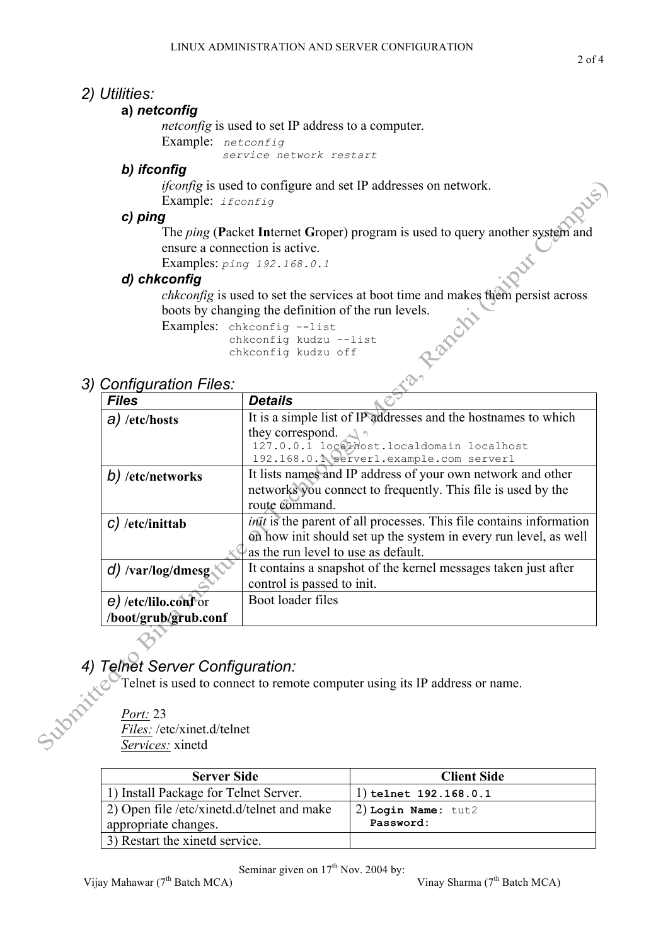# *2) Utilities:*

# **a)** *netconfig*

*netconfig* is used to set IP address to a computer.

```
Example: netconfig
```
*service network restart*

# *b) ifconfig*

*if config* is used to configure and set IP addresses on network. Example: *ifconfig*

# *c) ping*

The *ping* (**P**acket **In**ternet **G**roper) program is used to query another system and ensure a connection is active.

Examples: *ping 192.168.0.1*

# *d) chkconfig*

*chkconfig* is used to set the services at boot time and makes them persist across boots by changing the definition of the run levels.<br>Examples: chkconfig  $-$ list chkconfig kudzu  $-$ list chkconfig kudzu off boots by changing the definition of the run levels.

Examples: chkconfig –-list chkconfig kudzu --list chkconfig kudzu off

# *3) Configuration Files:*

| <u>ssingaranon mosi</u>     |                                                                            |  |  |
|-----------------------------|----------------------------------------------------------------------------|--|--|
| <b>Files</b>                | <b>Details</b>                                                             |  |  |
| $a)$ /etc/hosts             | It is a simple list of IP addresses and the hostnames to which             |  |  |
|                             | they correspond. $\triangle$                                               |  |  |
|                             | 127.0.0.1 localhost.localdomain localhost                                  |  |  |
|                             | 192.168.0.1 server1.example.com server1                                    |  |  |
| b) /etc/networks            | It lists names and IP address of your own network and other                |  |  |
|                             | networks you connect to frequently. This file is used by the               |  |  |
|                             | route command.                                                             |  |  |
| $c)$ /etc/inittab           | <i>init</i> is the parent of all processes. This file contains information |  |  |
|                             | on how init should set up the system in every run level, as well           |  |  |
|                             | as the run level to use as default.                                        |  |  |
| d) /var/log/dmesg $\lambda$ | It contains a snapshot of the kernel messages taken just after             |  |  |
|                             | control is passed to init.                                                 |  |  |
| e) /etc/lilo.conf or        | Boot loader files                                                          |  |  |
| /boot/grub/grub.conf        |                                                                            |  |  |

# *4) Telnet Server Configuration:*

Telnet is used to connect to remote computer using its IP address or name.

*Port:* 23 *Files:* /etc/xinet.d/telnet *Services:* xinetd

Support

| <b>Server Side</b>                         | <b>Client Side</b>      |  |
|--------------------------------------------|-------------------------|--|
| 1) Install Package for Telnet Server.      | 1) telnet $192.168.0.1$ |  |
| 2) Open file /etc/xinetd.d/telnet and make | $2)$ Login Name: tut2   |  |
| appropriate changes.                       | Password:               |  |
| 3) Restart the xinete service.             |                         |  |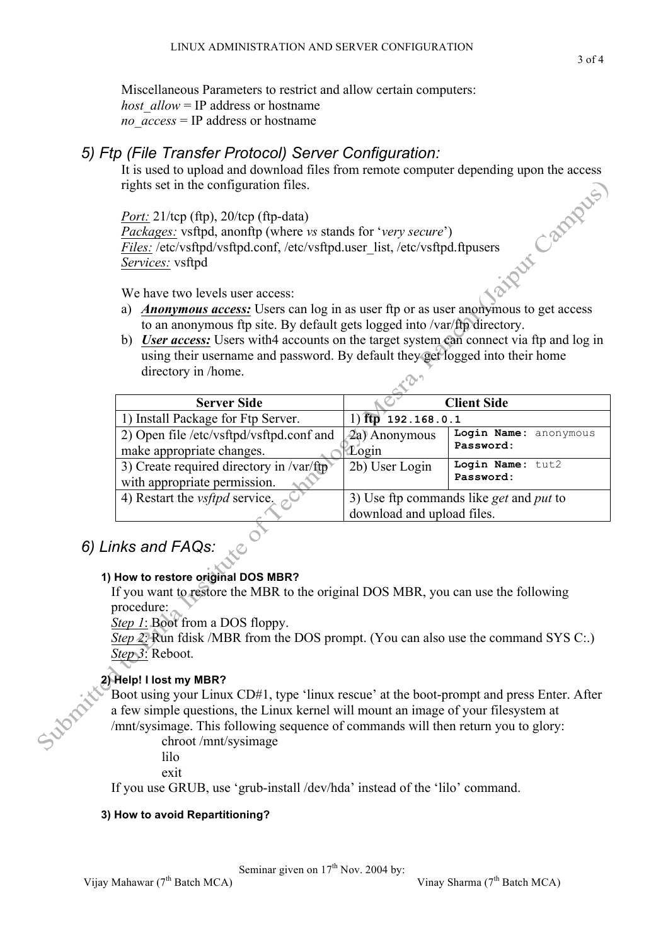Miscellaneous Parameters to restrict and allow certain computers: *host allow* = IP address or hostname *no\_access* = IP address or hostname

# *5) Ftp (File Transfer Protocol) Server Configuration:*

rights set in the configuration files.

It is used to upload and download files from remote computer depending upon the access<br>rights set in the configuration files.<br> $\frac{Port: } 21/\text{top (ftp)}, 20/\text{top (ftp-data)}$ <br> $\frac{Packs: } Packs:$   $\frac{Picks: } 1/\text{top} \times 20/\text{top (rolysqrt(1) w y y x y y y y y y y y y y y y y y y y y$ *Port:* 21/tcp (ftp), 20/tcp (ftp-data) *Packages:* vsftpd, anonftp (where *vs* stands for '*very secure*') *Files:* /etc/vsftpd/vsftpd.conf, /etc/vsftpd.user\_list, /etc/vsftpd.ftpusers *Services:* vsftpd

We have two levels user access:

- a) *Anonymous access:* Users can log in as user ftp or as user anonymous to get access to an anonymous ftp site. By default gets logged into /var/ftp directory.
- b) *User access:* Users with4 accounts on the target system can connect via ftp and log in using their username and password. By default they get logged into their home directory in /home.

| <b>Server Side</b>                               |                                                       | <b>Client Side</b>    |
|--------------------------------------------------|-------------------------------------------------------|-----------------------|
| 1) Install Package for Ftp Server.               | $1)$ ftp $192.168.0.1$                                |                       |
| 2) Open file /etc/vsftpd/vsftpd.conf and         | 2a) Anonymous                                         | Login Name: anonymous |
| make appropriate changes.                        | Login                                                 | Password:             |
| 3) Create required directory in $\sqrt{var/ftp}$ | 2b) User Login                                        | Login Name: tut2      |
| with appropriate permission.                     |                                                       | Password:             |
| 4) Restart the <i>vsftpd</i> service, $\sigma$   | 3) Use ftp commands like <i>get</i> and <i>put</i> to |                       |
|                                                  | download and upload files.                            |                       |

# *6) Links and FAQs:*

# **1) How to restore original DOS MBR?**

If you want to restore the MBR to the original DOS MBR, you can use the following procedure:

*Step 1*: Boot from a DOS floppy.

*Step 2*: Run fdisk /MBR from the DOS prompt. (You can also use the command SYS C:.) *Step 3*: Reboot.

# **2) Help! I lost my MBR?**

Boot using your Linux CD#1, type 'linux rescue' at the boot-prompt and press Enter. After a few simple questions, the Linux kernel will mount an image of your filesystem at /mnt/sysimage. This following sequence of commands will then return you to glory:

chroot /mnt/sysimage

lilo

exit

If you use GRUB, use 'grub-install /dev/hda' instead of the 'lilo' command.

# **3) How to avoid Repartitioning?**

Seminar given on  $17<sup>th</sup>$  Nov. 2004 by: